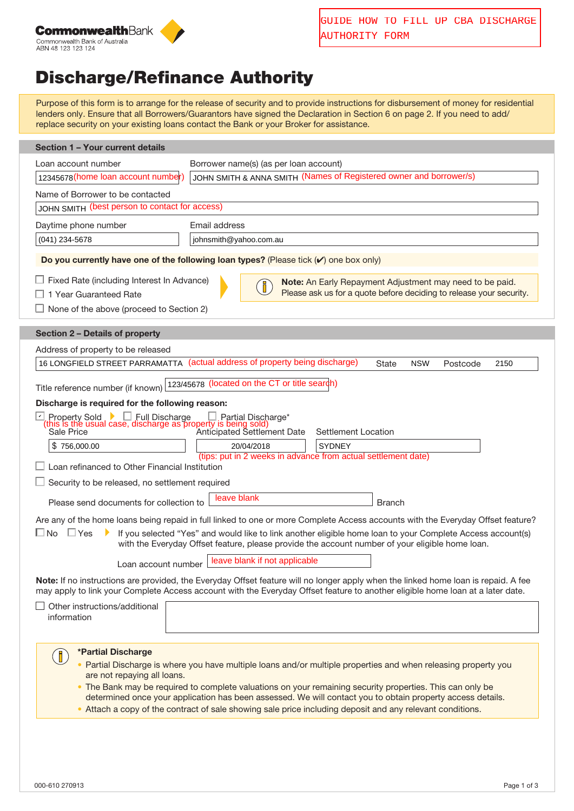

## Discharge/Refinance Authority

Purpose of this form is to arrange for the release of security and to provide instructions for disbursement of money for residential lenders only. Ensure that all Borrowers/Guarantors have signed the Declaration in Section 6 on page 2. If you need to add/ replace security on your existing loans contact the Bank or your Broker for assistance.

| Section 1 - Your current details                                                                                                                                                                                                                                     |  |  |  |  |
|----------------------------------------------------------------------------------------------------------------------------------------------------------------------------------------------------------------------------------------------------------------------|--|--|--|--|
| Borrower name(s) (as per loan account)<br>Loan account number                                                                                                                                                                                                        |  |  |  |  |
| JOHN SMITH & ANNA SMITH (Names of Registered owner and borrower/s)<br>12345678 (home loan account number)                                                                                                                                                            |  |  |  |  |
| Name of Borrower to be contacted                                                                                                                                                                                                                                     |  |  |  |  |
| JOHN SMITH (Dest person to contact for access)                                                                                                                                                                                                                       |  |  |  |  |
| Daytime phone number<br>Email address                                                                                                                                                                                                                                |  |  |  |  |
| $(041)$ 234-5678<br>johnsmith@yahoo.com.au                                                                                                                                                                                                                           |  |  |  |  |
| Do you currently have one of the following loan types? (Please tick $(v)$ one box only)                                                                                                                                                                              |  |  |  |  |
| $\Box$ Fixed Rate (including Interest In Advance)<br>Note: An Early Repayment Adjustment may need to be paid.                                                                                                                                                        |  |  |  |  |
| Please ask us for a quote before deciding to release your security.<br>1 Year Guaranteed Rate                                                                                                                                                                        |  |  |  |  |
| None of the above (proceed to Section 2)                                                                                                                                                                                                                             |  |  |  |  |
| Section 2 - Details of property                                                                                                                                                                                                                                      |  |  |  |  |
| Address of property to be released                                                                                                                                                                                                                                   |  |  |  |  |
| (actual address of property being discharge)<br>16 LONGFIELD STREET PARRAMATTA<br><b>NSW</b><br>State<br>Postcode<br>2150                                                                                                                                            |  |  |  |  |
| 123/45678 (located on the CT or title search)<br>Title reference number (if known)                                                                                                                                                                                   |  |  |  |  |
| Discharge is required for the following reason:                                                                                                                                                                                                                      |  |  |  |  |
| Property Sold ▶ □ Full Discharge □ Partial Discharge* (this is the usual case, discharge as property is being sold)<br>Sale Price<br>Anticipated Settlement Date<br>Settlement Location                                                                              |  |  |  |  |
| \$756,000.00<br>20/04/2018<br><b>SYDNEY</b>                                                                                                                                                                                                                          |  |  |  |  |
| (tips: put in 2 weeks in advance from actual settlement date)<br>Loan refinanced to Other Financial Institution                                                                                                                                                      |  |  |  |  |
| Security to be released, no settlement required                                                                                                                                                                                                                      |  |  |  |  |
| leave blank<br>Please send documents for collection to<br><b>Branch</b>                                                                                                                                                                                              |  |  |  |  |
| Are any of the home loans being repaid in full linked to one or more Complete Access accounts with the Everyday Offset feature?                                                                                                                                      |  |  |  |  |
| $\Box$ Yes<br>If you selected "Yes" and would like to link another eligible home loan to your Complete Access account(s)<br>∟ No<br>with the Everyday Offset feature, please provide the account number of your eligible home loan.                                  |  |  |  |  |
| leave blank if not applicable<br>Loan account number                                                                                                                                                                                                                 |  |  |  |  |
| Note: If no instructions are provided, the Everyday Offset feature will no longer apply when the linked home loan is repaid. A fee<br>may apply to link your Complete Access account with the Everyday Offset feature to another eligible home loan at a later date. |  |  |  |  |
| Other instructions/additional<br>information                                                                                                                                                                                                                         |  |  |  |  |
| *Partial Discharge                                                                                                                                                                                                                                                   |  |  |  |  |
| Partial Discharge is where you have multiple loans and/or multiple properties and when releasing property you<br>are not repaying all loans.                                                                                                                         |  |  |  |  |
| . The Bank may be required to complete valuations on your remaining security properties. This can only be                                                                                                                                                            |  |  |  |  |
| determined once your application has been assessed. We will contact you to obtain property access details.<br>• Attach a copy of the contract of sale showing sale price including deposit and any relevant conditions.                                              |  |  |  |  |
|                                                                                                                                                                                                                                                                      |  |  |  |  |
|                                                                                                                                                                                                                                                                      |  |  |  |  |
|                                                                                                                                                                                                                                                                      |  |  |  |  |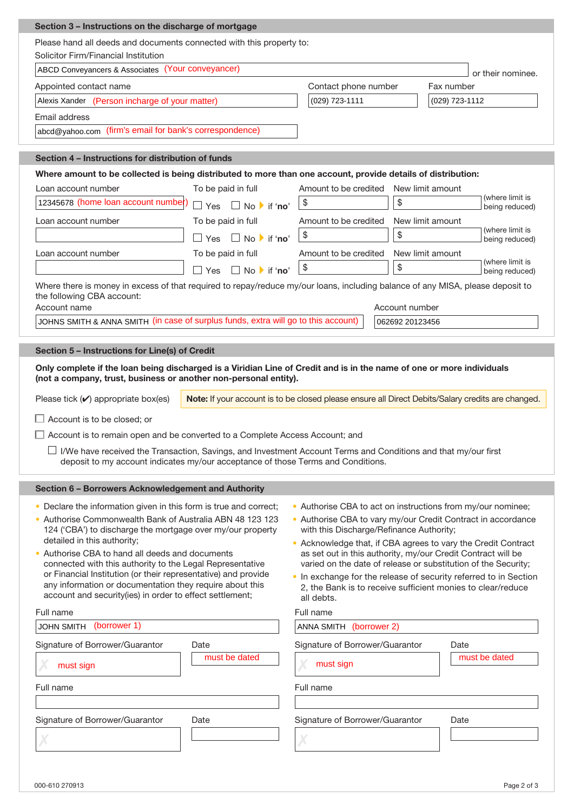| Section 3 - Instructions on the discharge of mortgage                                                                                                                                              |                                                                                                   |                                                              |                        |                                                                                                                                 |
|----------------------------------------------------------------------------------------------------------------------------------------------------------------------------------------------------|---------------------------------------------------------------------------------------------------|--------------------------------------------------------------|------------------------|---------------------------------------------------------------------------------------------------------------------------------|
|                                                                                                                                                                                                    |                                                                                                   |                                                              |                        |                                                                                                                                 |
| Please hand all deeds and documents connected with this property to:<br>Solicitor Firm/Financial Institution                                                                                       |                                                                                                   |                                                              |                        |                                                                                                                                 |
| ABCD Conveyancers & Associates (Your conveyancer)                                                                                                                                                  |                                                                                                   |                                                              |                        |                                                                                                                                 |
|                                                                                                                                                                                                    |                                                                                                   |                                                              |                        | or their nominee.                                                                                                               |
| Appointed contact name                                                                                                                                                                             |                                                                                                   | Contact phone number                                         |                        | Fax number                                                                                                                      |
| Alexis Xander (Person incharge of your matter)                                                                                                                                                     |                                                                                                   | (029) 723-1111                                               |                        | (029) 723-1112                                                                                                                  |
| Email address                                                                                                                                                                                      |                                                                                                   |                                                              |                        |                                                                                                                                 |
| abcd@yahoo.com (firm's email for bank's correspondence)                                                                                                                                            |                                                                                                   |                                                              |                        |                                                                                                                                 |
|                                                                                                                                                                                                    |                                                                                                   |                                                              |                        |                                                                                                                                 |
| Section 4 - Instructions for distribution of funds                                                                                                                                                 |                                                                                                   |                                                              |                        |                                                                                                                                 |
| Where amount to be collected is being distributed to more than one account, provide details of distribution:                                                                                       |                                                                                                   |                                                              |                        |                                                                                                                                 |
| Loan account number<br>12345678 (home loan account number)                                                                                                                                         | To be paid in full                                                                                | Amount to be credited<br>$$\mathbb{S}$$                      | New limit amount<br>\$ | (where limit is                                                                                                                 |
|                                                                                                                                                                                                    | $\Box$ Yes $\Box$ No if 'no'                                                                      |                                                              |                        | being reduced)                                                                                                                  |
| Loan account number                                                                                                                                                                                | To be paid in full                                                                                | Amount to be credited                                        | New limit amount       | (where limit is                                                                                                                 |
|                                                                                                                                                                                                    | Yes $\Box$ No if 'no'                                                                             | \$                                                           | \$                     | being reduced)                                                                                                                  |
| Loan account number                                                                                                                                                                                | To be paid in full                                                                                | Amount to be credited                                        | New limit amount       |                                                                                                                                 |
|                                                                                                                                                                                                    | $\Box$ No $\blacktriangleright$ if 'no'<br>$\Box$ Yes                                             | \$                                                           | \$                     | (where limit is<br>being reduced)                                                                                               |
| Where there is money in excess of that required to repay/reduce my/our loans, including balance of any MISA, please deposit to                                                                     |                                                                                                   |                                                              |                        |                                                                                                                                 |
| the following CBA account:                                                                                                                                                                         |                                                                                                   |                                                              |                        |                                                                                                                                 |
| Account name                                                                                                                                                                                       |                                                                                                   |                                                              | Account number         |                                                                                                                                 |
| JOHNS SMITH & ANNA SMITH (in case of surplus funds, extra will go to this account)                                                                                                                 |                                                                                                   |                                                              | 062692 20123456        |                                                                                                                                 |
|                                                                                                                                                                                                    |                                                                                                   |                                                              |                        |                                                                                                                                 |
| Section 5 - Instructions for Line(s) of Credit<br>Only complete if the loan being discharged is a Viridian Line of Credit and is in the name of one or more individuals                            |                                                                                                   |                                                              |                        |                                                                                                                                 |
| (not a company, trust, business or another non-personal entity).                                                                                                                                   |                                                                                                   |                                                              |                        |                                                                                                                                 |
| Please tick $(V)$ appropriate box(es)                                                                                                                                                              | Note: If your account is to be closed please ensure all Direct Debits/Salary credits are changed. |                                                              |                        |                                                                                                                                 |
| Account is to be closed; or                                                                                                                                                                        |                                                                                                   |                                                              |                        |                                                                                                                                 |
| Account is to remain open and be converted to a Complete Access Account; and                                                                                                                       |                                                                                                   |                                                              |                        |                                                                                                                                 |
| I/We have received the Transaction, Savings, and Investment Account Terms and Conditions and that my/our first<br>deposit to my account indicates my/our acceptance of those Terms and Conditions. |                                                                                                   |                                                              |                        |                                                                                                                                 |
|                                                                                                                                                                                                    |                                                                                                   |                                                              |                        |                                                                                                                                 |
| Section 6 - Borrowers Acknowledgement and Authority                                                                                                                                                |                                                                                                   |                                                              |                        |                                                                                                                                 |
| • Declare the information given in this form is true and correct;                                                                                                                                  |                                                                                                   | • Authorise CBA to act on instructions from my/our nominee;  |                        |                                                                                                                                 |
| • Authorise Commonwealth Bank of Australia ABN 48 123 123                                                                                                                                          |                                                                                                   |                                                              |                        | • Authorise CBA to vary my/our Credit Contract in accordance                                                                    |
| 124 ('CBA') to discharge the mortgage over my/our property<br>detailed in this authority;                                                                                                          |                                                                                                   | with this Discharge/Refinance Authority;                     |                        | • Acknowledge that, if CBA agrees to vary the Credit Contract                                                                   |
| Authorise CBA to hand all deeds and documents                                                                                                                                                      |                                                                                                   | as set out in this authority, my/our Credit Contract will be |                        |                                                                                                                                 |
| connected with this authority to the Legal Representative                                                                                                                                          |                                                                                                   |                                                              |                        | varied on the date of release or substitution of the Security;                                                                  |
| or Financial Institution (or their representative) and provide<br>any information or documentation they require about this                                                                         |                                                                                                   |                                                              |                        | . In exchange for the release of security referred to in Section<br>2, the Bank is to receive sufficient monies to clear/reduce |
| account and security(ies) in order to effect settlement;                                                                                                                                           |                                                                                                   | all debts.                                                   |                        |                                                                                                                                 |
| Full name                                                                                                                                                                                          |                                                                                                   | Full name                                                    |                        |                                                                                                                                 |
| (borrower 1)<br><b>JOHN SMITH</b>                                                                                                                                                                  |                                                                                                   | ANNA SMITH (borrower 2)                                      |                        |                                                                                                                                 |
| Signature of Borrower/Guarantor                                                                                                                                                                    | Date                                                                                              | Signature of Borrower/Guarantor                              |                        | Date                                                                                                                            |
| must sign                                                                                                                                                                                          | must be dated                                                                                     | must sign                                                    |                        | must be dated                                                                                                                   |
| Full name                                                                                                                                                                                          |                                                                                                   | Full name                                                    |                        |                                                                                                                                 |
|                                                                                                                                                                                                    |                                                                                                   |                                                              |                        |                                                                                                                                 |
| Signature of Borrower/Guarantor                                                                                                                                                                    | Date                                                                                              | Signature of Borrower/Guarantor                              |                        | Date                                                                                                                            |
|                                                                                                                                                                                                    |                                                                                                   |                                                              |                        |                                                                                                                                 |